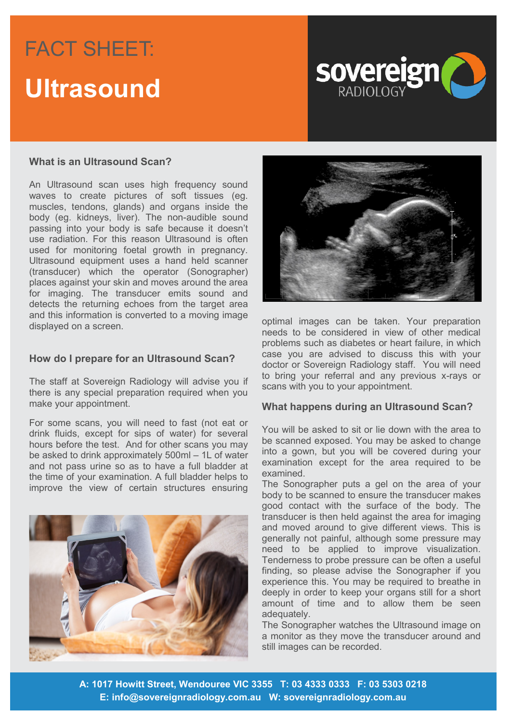# FACT SHEET: FACT SHEET: **Headline to go here**



### **What is an Ultrasound Scan?**

An Ultrasound scan uses high frequency sound waves to create pictures of soft tissues (eg. muscles, tendons, glands) and organs inside the body (eg. kidneys, liver). The non-audible sound passing into your body is safe because it doesn't use radiation. For this reason Ultrasound is often used for monitoring foetal growth in pregnancy. Ultrasound equipment uses a hand held scanner (transducer) which the operator (Sonographer) places against your skin and moves around the area for imaging. The transducer emits sound and detects the returning echoes from the target area and this information is converted to a moving image displayed on a screen.

#### **How do I prepare for an Ultrasound Scan?**

The staff at Sovereign Radiology will advise you if there is any special preparation required when you make your appointment.

For some scans, you will need to fast (not eat or drink fluids, except for sips of water) for several hours before the test. And for other scans you may be asked to drink approximately 500ml – 1L of water and not pass urine so as to have a full bladder at the time of your examination. A full bladder helps to improve the view of certain structures ensuring





optimal images can be taken. Your preparation needs to be considered in view of other medical problems such as diabetes or heart failure, in which case you are advised to discuss this with your doctor or Sovereign Radiology staff. You will need to bring your referral and any previous x-rays or scans with you to your appointment.

#### **What happens during an Ultrasound Scan?**

You will be asked to sit or lie down with the area to be scanned exposed. You may be asked to change into a gown, but you will be covered during your examination except for the area required to be examined.

The Sonographer puts a gel on the area of your body to be scanned to ensure the transducer makes good contact with the surface of the body. The transducer is then held against the area for imaging and moved around to give different views. This is generally not painful, although some pressure may need to be applied to improve visualization. Tenderness to probe pressure can be often a useful finding, so please advise the Sonographer if you experience this. You may be required to breathe in deeply in order to keep your organs still for a short amount of time and to allow them be seen adequately.

The Sonographer watches the Ultrasound image on a monitor as they move the transducer around and still images can be recorded.

**A: 1017 Howitt Street, Wendouree VIC 3355 T: 03 4333 0333 F: 03 5303 0218 E: info@sovereignradiology.com.au W: sovereignradiology.com.au**